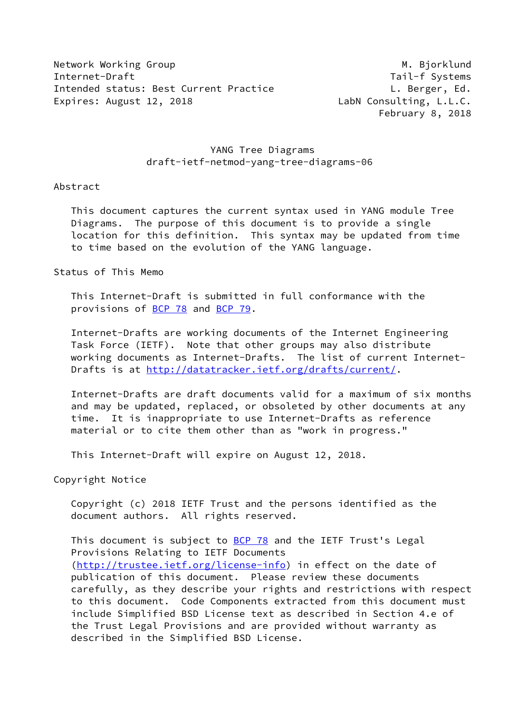Network Working Group Manuscription of the Manuscription of M. Bjorklund Internet-Draft Tail-f Systems Intended status: Best Current Practice The Contract L. Berger, Ed. Expires: August 12, 2018 LabN Consulting, L.L.C.

February 8, 2018

## YANG Tree Diagrams draft-ietf-netmod-yang-tree-diagrams-06

#### Abstract

 This document captures the current syntax used in YANG module Tree Diagrams. The purpose of this document is to provide a single location for this definition. This syntax may be updated from time to time based on the evolution of the YANG language.

#### Status of This Memo

 This Internet-Draft is submitted in full conformance with the provisions of [BCP 78](https://datatracker.ietf.org/doc/pdf/bcp78) and [BCP 79](https://datatracker.ietf.org/doc/pdf/bcp79).

 Internet-Drafts are working documents of the Internet Engineering Task Force (IETF). Note that other groups may also distribute working documents as Internet-Drafts. The list of current Internet- Drafts is at<http://datatracker.ietf.org/drafts/current/>.

 Internet-Drafts are draft documents valid for a maximum of six months and may be updated, replaced, or obsoleted by other documents at any time. It is inappropriate to use Internet-Drafts as reference material or to cite them other than as "work in progress."

This Internet-Draft will expire on August 12, 2018.

Copyright Notice

 Copyright (c) 2018 IETF Trust and the persons identified as the document authors. All rights reserved.

This document is subject to **[BCP 78](https://datatracker.ietf.org/doc/pdf/bcp78)** and the IETF Trust's Legal Provisions Relating to IETF Documents [\(http://trustee.ietf.org/license-info](http://trustee.ietf.org/license-info)) in effect on the date of publication of this document. Please review these documents carefully, as they describe your rights and restrictions with respect to this document. Code Components extracted from this document must include Simplified BSD License text as described in Section 4.e of the Trust Legal Provisions and are provided without warranty as described in the Simplified BSD License.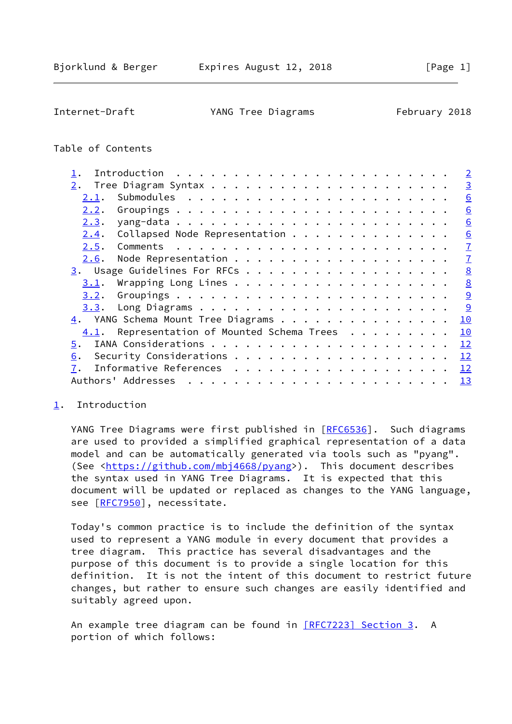<span id="page-1-1"></span>Internet-Draft YANG Tree Diagrams February 2018

# Table of Contents

|      |                                                |  |  | $\overline{2}$  |
|------|------------------------------------------------|--|--|-----------------|
| 2.   |                                                |  |  | $\overline{3}$  |
| 2.1. |                                                |  |  | 6               |
| 2.2. |                                                |  |  | 6               |
| 2.3. |                                                |  |  | 6               |
| 2.4. | Collapsed Node Representation                  |  |  | $\underline{6}$ |
| 2.5. |                                                |  |  | $\overline{1}$  |
| 2.6. |                                                |  |  | $\overline{1}$  |
|      |                                                |  |  | 8               |
| 3.1. |                                                |  |  | 8               |
| 3.2. |                                                |  |  | 9               |
|      |                                                |  |  | 9               |
|      | 4. YANG Schema Mount Tree Diagrams             |  |  | 10              |
|      | $4.1$ . Representation of Mounted Schema Trees |  |  | 10              |
| 5.   |                                                |  |  | 12              |
| 6.   |                                                |  |  | 12              |
| 7.   |                                                |  |  | 12              |
|      | Authors' Addresses                             |  |  | 13              |
|      |                                                |  |  |                 |

## <span id="page-1-0"></span>[1](#page-1-0). Introduction

YANG Tree Diagrams were first published in [[RFC6536\]](https://datatracker.ietf.org/doc/pdf/rfc6536). Such diagrams are used to provided a simplified graphical representation of a data model and can be automatically generated via tools such as "pyang". (See [<https://github.com/mbj4668/pyang](https://github.com/mbj4668/pyang)>). This document describes the syntax used in YANG Tree Diagrams. It is expected that this document will be updated or replaced as changes to the YANG language, see [\[RFC7950](https://datatracker.ietf.org/doc/pdf/rfc7950)], necessitate.

 Today's common practice is to include the definition of the syntax used to represent a YANG module in every document that provides a tree diagram. This practice has several disadvantages and the purpose of this document is to provide a single location for this definition. It is not the intent of this document to restrict future changes, but rather to ensure such changes are easily identified and suitably agreed upon.

An example tree diagram can be found in [\[RFC7223\] Section](https://datatracker.ietf.org/doc/pdf/rfc7223#section-3) 3. A portion of which follows: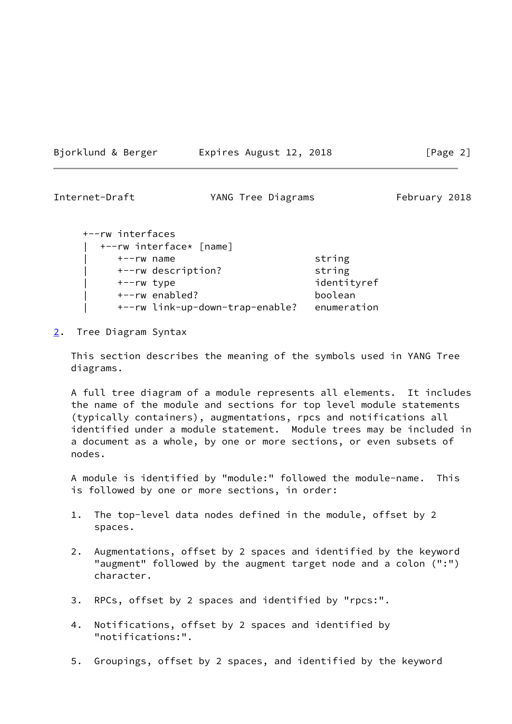Bjorklund & Berger Expires August 12, 2018 [Page 2]

<span id="page-2-1"></span>Internet-Draft YANG Tree Diagrams February 2018

| +--rw interfaces |                                 |             |
|------------------|---------------------------------|-------------|
|                  | +--rw interface* [name]         |             |
| $+--rw$ name     |                                 | string      |
|                  | +--rw description?              | string      |
| +--rw type       |                                 | identityref |
|                  | +--rw enabled?                  | boolean     |
|                  | +--rw link-up-down-trap-enable? | enumeration |
|                  |                                 |             |

<span id="page-2-0"></span>[2](#page-2-0). Tree Diagram Syntax

 This section describes the meaning of the symbols used in YANG Tree diagrams.

 A full tree diagram of a module represents all elements. It includes the name of the module and sections for top level module statements (typically containers), augmentations, rpcs and notifications all identified under a module statement. Module trees may be included in a document as a whole, by one or more sections, or even subsets of nodes.

 A module is identified by "module:" followed the module-name. This is followed by one or more sections, in order:

- 1. The top-level data nodes defined in the module, offset by 2 spaces.
- 2. Augmentations, offset by 2 spaces and identified by the keyword "augment" followed by the augment target node and a colon (":") character.
- 3. RPCs, offset by 2 spaces and identified by "rpcs:".
- 4. Notifications, offset by 2 spaces and identified by "notifications:".
- 5. Groupings, offset by 2 spaces, and identified by the keyword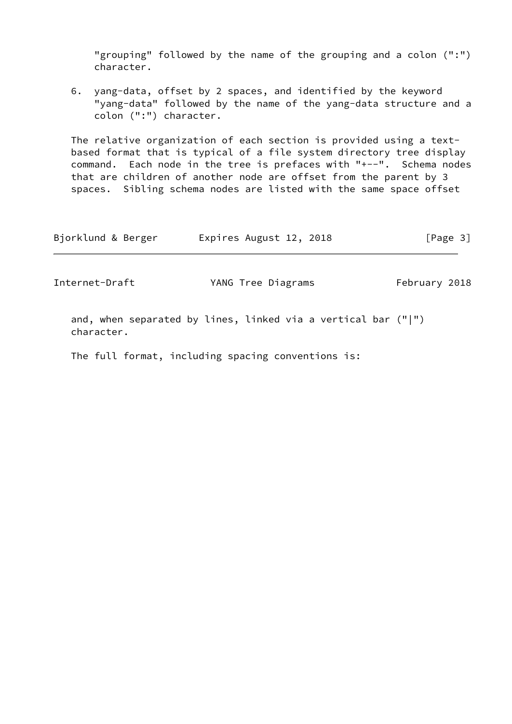"grouping" followed by the name of the grouping and a colon (":") character.

 6. yang-data, offset by 2 spaces, and identified by the keyword "yang-data" followed by the name of the yang-data structure and a colon (":") character.

 The relative organization of each section is provided using a text based format that is typical of a file system directory tree display command. Each node in the tree is prefaces with "+--". Schema nodes that are children of another node are offset from the parent by 3 spaces. Sibling schema nodes are listed with the same space offset

| Bjorklund & Berger | Expires August 12, 2018 | [Page 3] |
|--------------------|-------------------------|----------|
|                    |                         |          |

Internet-Draft YANG Tree Diagrams February 2018

 and, when separated by lines, linked via a vertical bar ("|") character.

The full format, including spacing conventions is: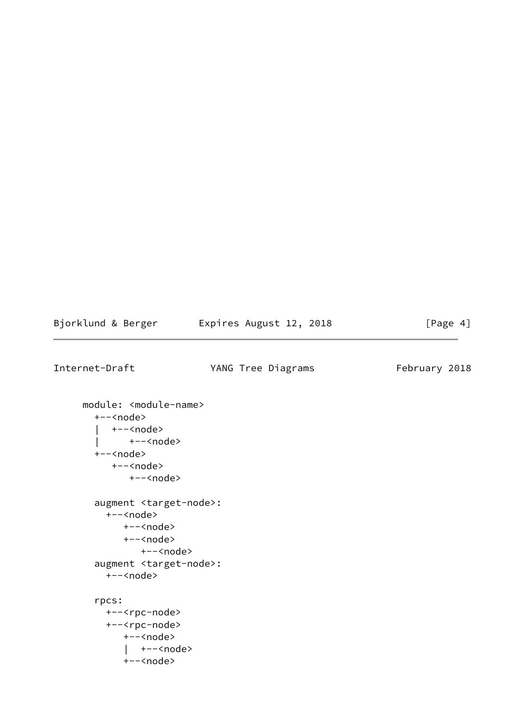| Bjorklund & Berger | Expires August 12, 2018 | [Page 4] |
|--------------------|-------------------------|----------|
|--------------------|-------------------------|----------|

Internet-Draft YANG Tree Diagrams February 2018

```
 module: <module-name>
   +--<node>
     | +--<node>
   | +--<node>
   +--<node>
      +--<node>
         +--<node>
   augment <target-node>:
     +--<node>
        +--<node>
        +--<node>
            +--<node>
   augment <target-node>:
     +--<node>
   rpcs:
     +--<rpc-node>
     +--<rpc-node>
        +--<node>
         | +--<node>
        +--<node>
```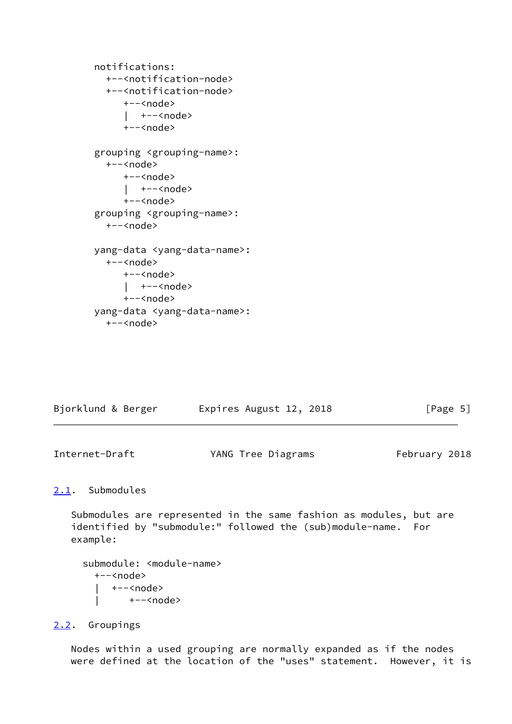```
 notifications:
   +--<notification-node>
   +--<notification-node>
      +--<node>
      | +--<node>
      +--<node>
 grouping <grouping-name>:
   +--<node>
      +--<node>
      | +--<node>
      +--<node>
 grouping <grouping-name>:
   +--<node>
 yang-data <yang-data-name>:
   +--<node>
      +--<node>
      | +--<node>
      +--<node>
 yang-data <yang-data-name>:
   +--<node>
```

| Bjorklund & Berger | Expires August 12, 2018 | [Page 5] |
|--------------------|-------------------------|----------|
|                    |                         |          |

<span id="page-5-1"></span>Internet-Draft YANG Tree Diagrams February 2018

### <span id="page-5-0"></span>[2.1](#page-5-0). Submodules

 Submodules are represented in the same fashion as modules, but are identified by "submodule:" followed the (sub)module-name. For example:

```
submodule: <module-name>
   +--<node>
     | +--<node>
         | +--<node>
```
### <span id="page-5-2"></span>[2.2](#page-5-2). Groupings

 Nodes within a used grouping are normally expanded as if the nodes were defined at the location of the "uses" statement. However, it is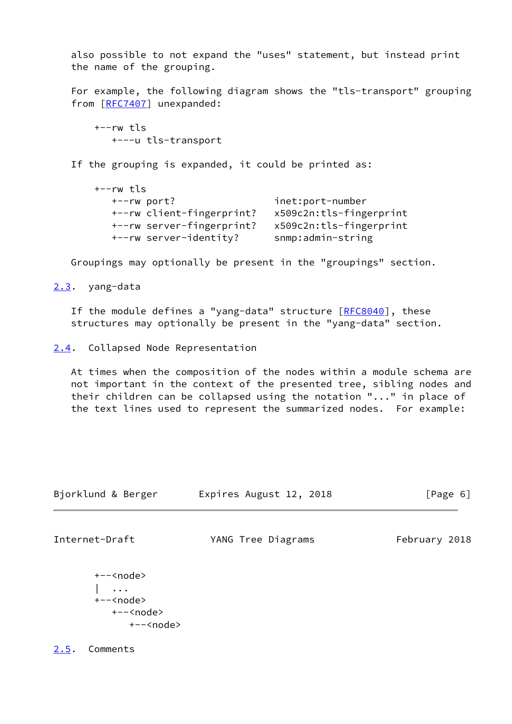also possible to not expand the "uses" statement, but instead print the name of the grouping.

 For example, the following diagram shows the "tls-transport" grouping from [\[RFC7407](https://datatracker.ietf.org/doc/pdf/rfc7407)] unexpanded:

 $+--rw$  tls +---u tls-transport

If the grouping is expanded, it could be printed as:

| +--rw tls                 |                         |
|---------------------------|-------------------------|
| +--rw port?               | inet:port-number        |
| +--rw client-fingerprint? | x509c2n:tls-fingerprint |
| +--rw server-fingerprint? | x509c2n:tls-fingerprint |
| +--rw server-identity?    | snmp:admin-string       |

Groupings may optionally be present in the "groupings" section.

## <span id="page-6-0"></span>[2.3](#page-6-0). yang-data

If the module defines a "yang-data" structure [[RFC8040](https://datatracker.ietf.org/doc/pdf/rfc8040)], these structures may optionally be present in the "yang-data" section.

<span id="page-6-1"></span>[2.4](#page-6-1). Collapsed Node Representation

 At times when the composition of the nodes within a module schema are not important in the context of the presented tree, sibling nodes and their children can be collapsed using the notation "..." in place of the text lines used to represent the summarized nodes. For example:

| Bjorklund & Berger | Expires August 12, 2018 | [Page 6] |  |
|--------------------|-------------------------|----------|--|
|                    |                         |          |  |

<span id="page-6-3"></span>

Internet-Draft YANG Tree Diagrams February 2018

 +--<node> | ... +--<node> +--<node> +--<node>

<span id="page-6-2"></span>[2.5](#page-6-2). Comments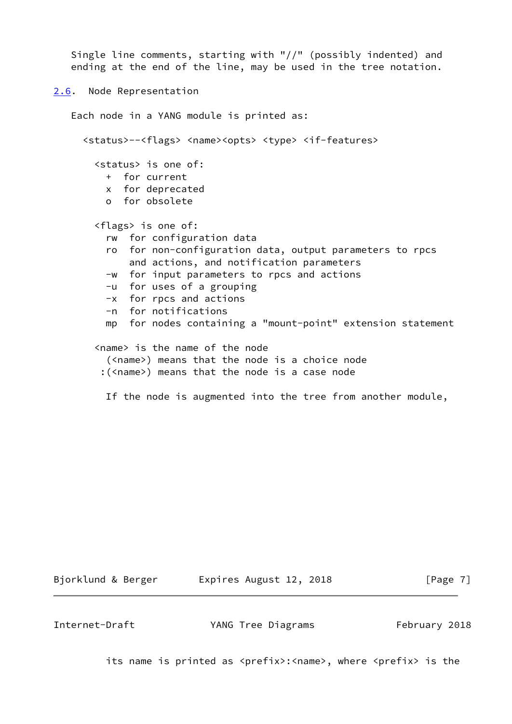```
 Single line comments, starting with "//" (possibly indented) and
    ending at the end of the line, may be used in the tree notation.
2.6. Node Representation
   Each node in a YANG module is printed as:
      <status>--<flags> <name><opts> <type> <if-features>
        <status> is one of:
          + for current
          x for deprecated
          o for obsolete
        <flags> is one of:
          rw for configuration data
          ro for non-configuration data, output parameters to rpcs
              and actions, and notification parameters
          -w for input parameters to rpcs and actions
          -u for uses of a grouping
          -x for rpcs and actions
          -n for notifications
          mp for nodes containing a "mount-point" extension statement
        <name> is the name of the node
          (<name>) means that the node is a choice node
         :(<name>) means that the node is a case node
          If the node is augmented into the tree from another module,
```
Bjorklund & Berger Expires August 12, 2018 [Page 7]

<span id="page-7-1"></span>

Internet-Draft YANG Tree Diagrams February 2018

its name is printed as <prefix>:<name>, where <prefix> is the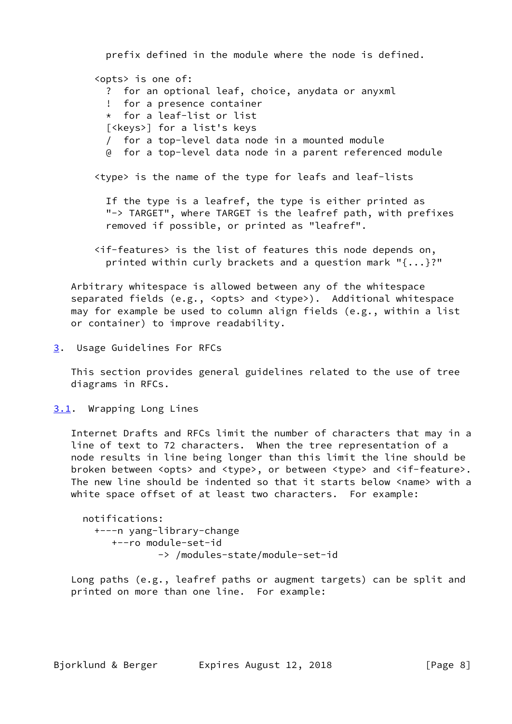prefix defined in the module where the node is defined. <opts> is one of: ? for an optional leaf, choice, anydata or anyxml ! for a presence container \* for a leaf-list or list [<keys>] for a list's keys / for a top-level data node in a mounted module @ for a top-level data node in a parent referenced module <type> is the name of the type for leafs and leaf-lists If the type is a leafref, the type is either printed as "-> TARGET", where TARGET is the leafref path, with prefixes removed if possible, or printed as "leafref".

 <if-features> is the list of features this node depends on, printed within curly brackets and a question mark "{...}?"

 Arbitrary whitespace is allowed between any of the whitespace separated fields (e.g., <opts> and <type>). Additional whitespace may for example be used to column align fields (e.g., within a list or container) to improve readability.

<span id="page-8-0"></span>[3](#page-8-0). Usage Guidelines For RFCs

 This section provides general guidelines related to the use of tree diagrams in RFCs.

<span id="page-8-1"></span>[3.1](#page-8-1). Wrapping Long Lines

 Internet Drafts and RFCs limit the number of characters that may in a line of text to 72 characters. When the tree representation of a node results in line being longer than this limit the line should be broken between <opts> and <type>, or between <type> and <if-feature>. The new line should be indented so that it starts below <name> with a white space offset of at least two characters. For example:

```
 notifications:
   +---n yang-library-change
      +--ro module-set-id
              -> /modules-state/module-set-id
```
 Long paths (e.g., leafref paths or augment targets) can be split and printed on more than one line. For example: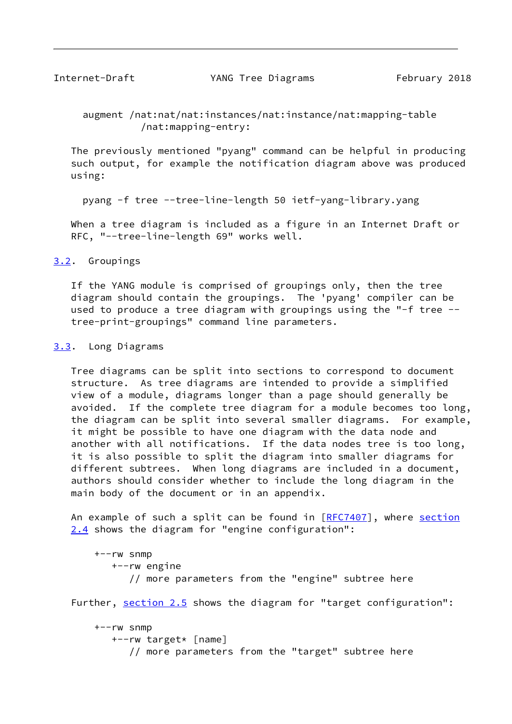<span id="page-9-1"></span>

 augment /nat:nat/nat:instances/nat:instance/nat:mapping-table /nat:mapping-entry:

 The previously mentioned "pyang" command can be helpful in producing such output, for example the notification diagram above was produced using:

pyang -f tree --tree-line-length 50 ietf-yang-library.yang

 When a tree diagram is included as a figure in an Internet Draft or RFC, "--tree-line-length 69" works well.

<span id="page-9-0"></span>[3.2](#page-9-0). Groupings

 If the YANG module is comprised of groupings only, then the tree diagram should contain the groupings. The 'pyang' compiler can be used to produce a tree diagram with groupings using the "-f tree - tree-print-groupings" command line parameters.

#### <span id="page-9-2"></span>[3.3](#page-9-2). Long Diagrams

 Tree diagrams can be split into sections to correspond to document structure. As tree diagrams are intended to provide a simplified view of a module, diagrams longer than a page should generally be avoided. If the complete tree diagram for a module becomes too long, the diagram can be split into several smaller diagrams. For example, it might be possible to have one diagram with the data node and another with all notifications. If the data nodes tree is too long, it is also possible to split the diagram into smaller diagrams for different subtrees. When long diagrams are included in a document, authors should consider whether to include the long diagram in the main body of the document or in an appendix.

An example of such a split can be found in [[RFC7407\]](https://datatracker.ietf.org/doc/pdf/rfc7407), where [section](#page-6-1) [2.4](#page-6-1) shows the diagram for "engine configuration":

 +--rw snmp +--rw engine // more parameters from the "engine" subtree here

Further, [section 2.5](#page-6-2) shows the diagram for "target configuration":

 +--rw snmp +--rw target\* [name] // more parameters from the "target" subtree here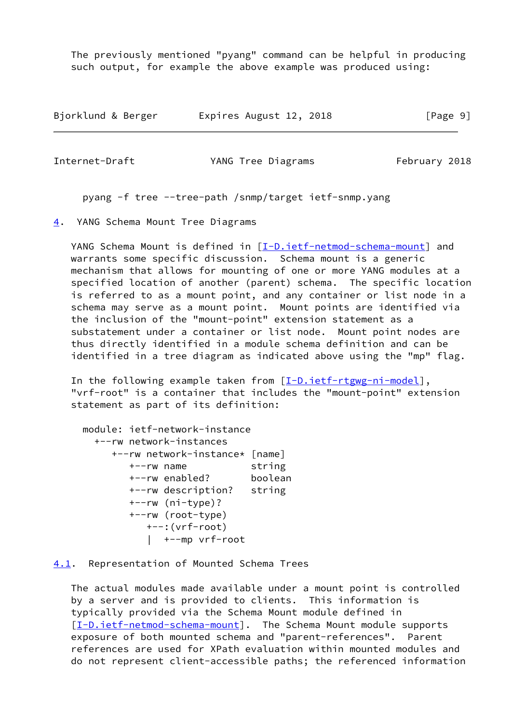The previously mentioned "pyang" command can be helpful in producing such output, for example the above example was produced using:

| Bjorklund & Berger | Expires August 12, 2018 | [Page 9] |
|--------------------|-------------------------|----------|
|--------------------|-------------------------|----------|

<span id="page-10-1"></span>

Internet-Draft YANG Tree Diagrams February 2018

pyang -f tree --tree-path /snmp/target ietf-snmp.yang

<span id="page-10-0"></span>[4](#page-10-0). YANG Schema Mount Tree Diagrams

YANG Schema Mount is defined in [\[I-D.ietf-netmod-schema-mount](#page-13-2)] and warrants some specific discussion. Schema mount is a generic mechanism that allows for mounting of one or more YANG modules at a specified location of another (parent) schema. The specific location is referred to as a mount point, and any container or list node in a schema may serve as a mount point. Mount points are identified via the inclusion of the "mount-point" extension statement as a substatement under a container or list node. Mount point nodes are thus directly identified in a module schema definition and can be identified in a tree diagram as indicated above using the "mp" flag.

In the following example taken from [\[I-D.ietf-rtgwg-ni-model](#page-13-3)], "vrf-root" is a container that includes the "mount-point" extension statement as part of its definition:

```
 module: ietf-network-instance
   +--rw network-instances
      +--rw network-instance* [name]
        +--rw name string
        +--rw enabled? boolean
        +--rw description? string
        +--rw (ni-type)?
        +--rw (root-type)
           +--:(vrf-root)
           | +--mp vrf-root
```
<span id="page-10-2"></span>[4.1](#page-10-2). Representation of Mounted Schema Trees

 The actual modules made available under a mount point is controlled by a server and is provided to clients. This information is typically provided via the Schema Mount module defined in [\[I-D.ietf-netmod-schema-mount](#page-13-2)]. The Schema Mount module supports exposure of both mounted schema and "parent-references". Parent references are used for XPath evaluation within mounted modules and do not represent client-accessible paths; the referenced information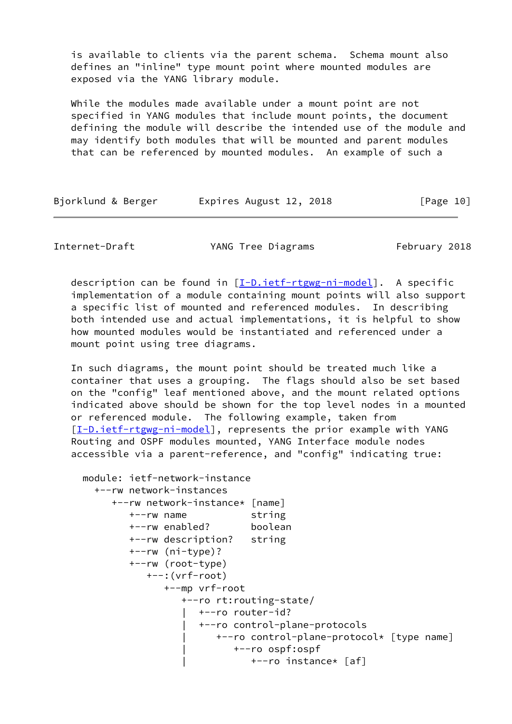is available to clients via the parent schema. Schema mount also defines an "inline" type mount point where mounted modules are exposed via the YANG library module.

 While the modules made available under a mount point are not specified in YANG modules that include mount points, the document defining the module will describe the intended use of the module and may identify both modules that will be mounted and parent modules that can be referenced by mounted modules. An example of such a

| Bjorklund & Berger | Expires August 12, 2018 | [Page 10] |
|--------------------|-------------------------|-----------|
|--------------------|-------------------------|-----------|

Internet-Draft YANG Tree Diagrams February 2018

 description can be found in [\[I-D.ietf-rtgwg-ni-model](#page-13-3)]. A specific implementation of a module containing mount points will also support a specific list of mounted and referenced modules. In describing both intended use and actual implementations, it is helpful to show how mounted modules would be instantiated and referenced under a mount point using tree diagrams.

 In such diagrams, the mount point should be treated much like a container that uses a grouping. The flags should also be set based on the "config" leaf mentioned above, and the mount related options indicated above should be shown for the top level nodes in a mounted or referenced module. The following example, taken from [\[I-D.ietf-rtgwg-ni-model](#page-13-3)], represents the prior example with YANG Routing and OSPF modules mounted, YANG Interface module nodes accessible via a parent-reference, and "config" indicating true:

```
 module: ietf-network-instance
   +--rw network-instances
      +--rw network-instance* [name]
         +--rw name string
         +--rw enabled? boolean
         +--rw description? string
         +--rw (ni-type)?
         +--rw (root-type)
            +--:(vrf-root)
               +--mp vrf-root
                  +--ro rt:routing-state/
                     | +--ro router-id?
                     | +--ro control-plane-protocols
                         | +--ro control-plane-protocol* [type name]
                            | +--ro ospf:ospf
                               | +--ro instance* [af]
```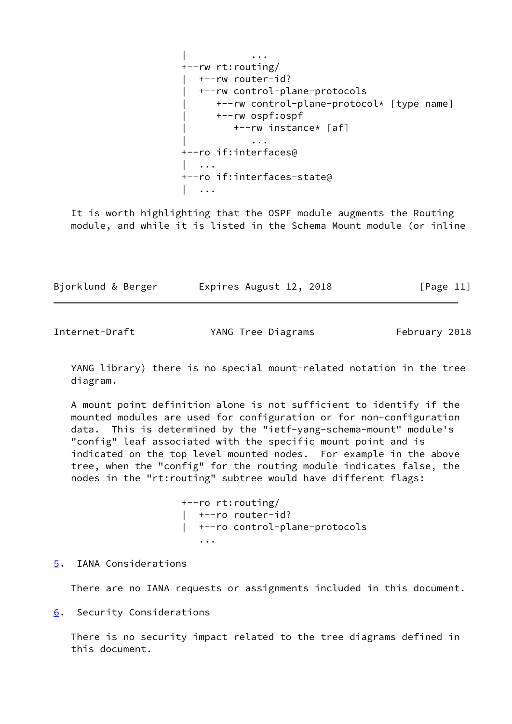| ... +--rw rt:routing/ | +--rw router-id? | +--rw control-plane-protocols | +--rw control-plane-protocol\* [type name] | +--rw ospf:ospf | +--rw instance\* [af] | ... +--ro if:interfaces@ | ... **| ...** | ... +--ro if:interfaces-state@ | ...

 It is worth highlighting that the OSPF module augments the Routing module, and while it is listed in the Schema Mount module (or inline

| Bjorklund & Berger | Expires August 12, 2018 | [Page 11] |
|--------------------|-------------------------|-----------|
|--------------------|-------------------------|-----------|

<span id="page-12-1"></span>Internet-Draft YANG Tree Diagrams February 2018

 YANG library) there is no special mount-related notation in the tree diagram.

 A mount point definition alone is not sufficient to identify if the mounted modules are used for configuration or for non-configuration data. This is determined by the "ietf-yang-schema-mount" module's "config" leaf associated with the specific mount point and is indicated on the top level mounted nodes. For example in the above tree, when the "config" for the routing module indicates false, the nodes in the "rt:routing" subtree would have different flags:

 +--ro rt:routing/ | +--ro router-id? | +--ro control-plane-protocols ...

<span id="page-12-0"></span>[5](#page-12-0). IANA Considerations

There are no IANA requests or assignments included in this document.

<span id="page-12-2"></span>[6](#page-12-2). Security Considerations

 There is no security impact related to the tree diagrams defined in this document.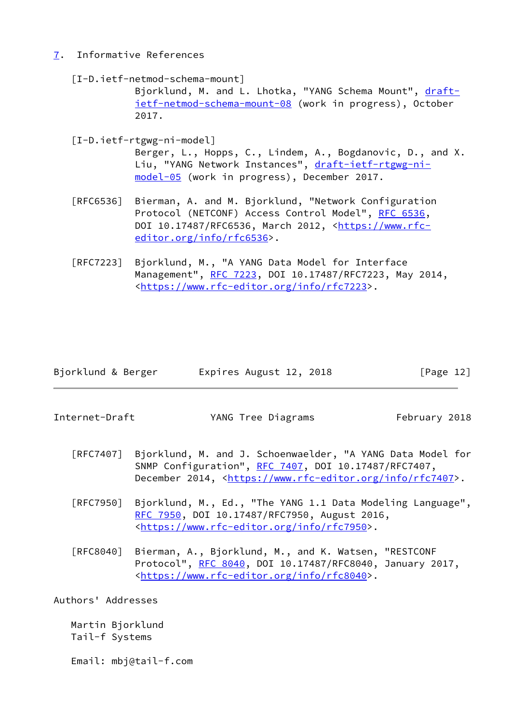# <span id="page-13-0"></span>[7](#page-13-0). Informative References

<span id="page-13-2"></span> [I-D.ietf-netmod-schema-mount] Bjorklund, M. and L. Lhotka, "YANG Schema Mount", [draft](https://datatracker.ietf.org/doc/pdf/draft-ietf-netmod-schema-mount-08) [ietf-netmod-schema-mount-08](https://datatracker.ietf.org/doc/pdf/draft-ietf-netmod-schema-mount-08) (work in progress), October 2017.

<span id="page-13-3"></span> [I-D.ietf-rtgwg-ni-model] Berger, L., Hopps, C., Lindem, A., Bogdanovic, D., and X. Liu, "YANG Network Instances", [draft-ietf-rtgwg-ni](https://datatracker.ietf.org/doc/pdf/draft-ietf-rtgwg-ni-model-05) [model-05](https://datatracker.ietf.org/doc/pdf/draft-ietf-rtgwg-ni-model-05) (work in progress), December 2017.

- [RFC6536] Bierman, A. and M. Bjorklund, "Network Configuration Protocol (NETCONF) Access Control Model", [RFC 6536](https://datatracker.ietf.org/doc/pdf/rfc6536), DOI 10.17487/RFC6536, March 2012, [<https://www.rfc](https://www.rfc-editor.org/info/rfc6536) [editor.org/info/rfc6536](https://www.rfc-editor.org/info/rfc6536)>.
- [RFC7223] Bjorklund, M., "A YANG Data Model for Interface Management", [RFC 7223](https://datatracker.ietf.org/doc/pdf/rfc7223), DOI 10.17487/RFC7223, May 2014, <[https://www.rfc-editor.org/info/rfc7223>](https://www.rfc-editor.org/info/rfc7223).

| Bjorklund & Berger | Expires August 12, 2018 | [Page 12] |
|--------------------|-------------------------|-----------|
|                    |                         |           |

<span id="page-13-1"></span>Internet-Draft YANG Tree Diagrams February 2018

- [RFC7407] Bjorklund, M. and J. Schoenwaelder, "A YANG Data Model for SNMP Configuration", [RFC 7407](https://datatracker.ietf.org/doc/pdf/rfc7407), DOI 10.17487/RFC7407, December 2014, <<https://www.rfc-editor.org/info/rfc7407>>.
- [RFC7950] Bjorklund, M., Ed., "The YANG 1.1 Data Modeling Language", [RFC 7950,](https://datatracker.ietf.org/doc/pdf/rfc7950) DOI 10.17487/RFC7950, August 2016, <[https://www.rfc-editor.org/info/rfc7950>](https://www.rfc-editor.org/info/rfc7950).
- [RFC8040] Bierman, A., Bjorklund, M., and K. Watsen, "RESTCONF Protocol", [RFC 8040](https://datatracker.ietf.org/doc/pdf/rfc8040), DOI 10.17487/RFC8040, January 2017, <[https://www.rfc-editor.org/info/rfc8040>](https://www.rfc-editor.org/info/rfc8040).

Authors' Addresses

 Martin Bjorklund Tail-f Systems

Email: mbj@tail-f.com